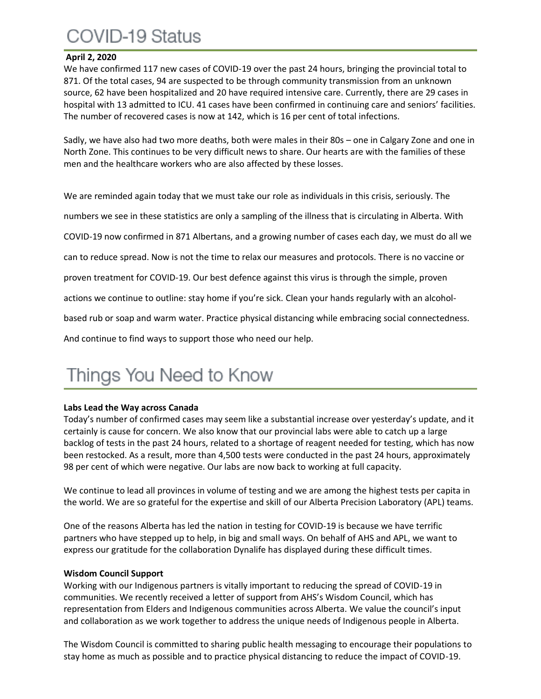## COVID-19 Status

#### **April 2, 2020**

We have confirmed 117 new cases of COVID-19 over the past 24 hours, bringing the provincial total to 871. Of the total cases, 94 are suspected to be through community transmission from an unknown source, 62 have been hospitalized and 20 have required intensive care. Currently, there are 29 cases in hospital with 13 admitted to ICU. 41 cases have been confirmed in continuing care and seniors' facilities. The number of recovered cases is now at 142, which is 16 per cent of total infections.

Sadly, we have also had two more deaths, both were males in their 80s – one in Calgary Zone and one in North Zone. This continues to be very difficult news to share. Our hearts are with the families of these men and the healthcare workers who are also affected by these losses.

We are reminded again today that we must take our role as individuals in this crisis, seriously. The numbers we see in these statistics are only a sampling of the illness that is circulating in Alberta. With COVID-19 now confirmed in 871 Albertans, and a growing number of cases each day, we must do all we can to reduce spread. Now is not the time to relax our measures and protocols. There is no vaccine or proven treatment for COVID-19. Our best defence against this virus is through the simple, proven actions we continue to outline: stay home if you're sick. Clean your hands regularly with an alcoholbased rub or soap and warm water. Practice physical distancing while embracing social connectedness. And continue to find ways to support those who need our help.

# Things You Need to Know

### **Labs Lead the Way across Canada**

Today's number of confirmed cases may seem like a substantial increase over yesterday's update, and it certainly is cause for concern. We also know that our provincial labs were able to catch up a large backlog of tests in the past 24 hours, related to a shortage of reagent needed for testing, which has now been restocked. As a result, more than 4,500 tests were conducted in the past 24 hours, approximately 98 per cent of which were negative. Our labs are now back to working at full capacity.

We continue to lead all provinces in volume of testing and we are among the highest tests per capita in the world. We are so grateful for the expertise and skill of our Alberta Precision Laboratory (APL) teams.

One of the reasons Alberta has led the nation in testing for COVID-19 is because we have terrific partners who have stepped up to help, in big and small ways. On behalf of AHS and APL, we want to express our gratitude for the collaboration Dynalife has displayed during these difficult times.

#### **Wisdom Council Support**

Working with our Indigenous partners is vitally important to reducing the spread of COVID-19 in communities. We recently received a letter of support from AHS's Wisdom Council, which has representation from Elders and Indigenous communities across Alberta. We value the council's input and collaboration as we work together to address the unique needs of Indigenous people in Alberta.

The Wisdom Council is committed to sharing public health messaging to encourage their populations to stay home as much as possible and to practice physical distancing to reduce the impact of COVID-19.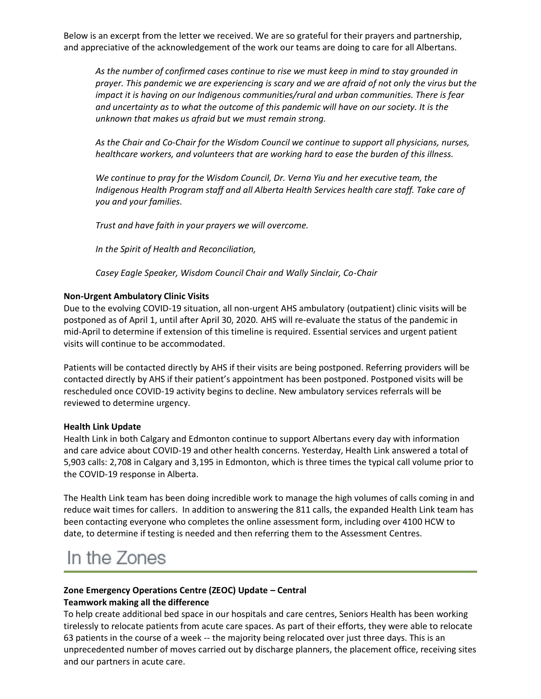Below is an excerpt from the letter we received. We are so grateful for their prayers and partnership, and appreciative of the acknowledgement of the work our teams are doing to care for all Albertans.

*As the number of confirmed cases continue to rise we must keep in mind to stay grounded in prayer. This pandemic we are experiencing is scary and we are afraid of not only the virus but the impact it is having on our Indigenous communities/rural and urban communities. There is fear and uncertainty as to what the outcome of this pandemic will have on our society. It is the unknown that makes us afraid but we must remain strong.*

*As the Chair and Co-Chair for the Wisdom Council we continue to support all physicians, nurses, healthcare workers, and volunteers that are working hard to ease the burden of this illness.*

*We continue to pray for the Wisdom Council, Dr. Verna Yiu and her executive team, the Indigenous Health Program staff and all Alberta Health Services health care staff. Take care of you and your families.*

*Trust and have faith in your prayers we will overcome.*

*In the Spirit of Health and Reconciliation,*

*Casey Eagle Speaker, Wisdom Council Chair and Wally Sinclair, Co-Chair*

#### **Non-Urgent Ambulatory Clinic Visits**

Due to the evolving COVID-19 situation, all non-urgent AHS ambulatory (outpatient) clinic visits will be postponed as of April 1, until after April 30, 2020. AHS will re-evaluate the status of the pandemic in mid-April to determine if extension of this timeline is required. Essential services and urgent patient visits will continue to be accommodated.

Patients will be contacted directly by AHS if their visits are being postponed. Referring providers will be contacted directly by AHS if their patient's appointment has been postponed. Postponed visits will be rescheduled once COVID-19 activity begins to decline. New ambulatory services referrals will be reviewed to determine urgency.

#### **Health Link Update**

Health Link in both Calgary and Edmonton continue to support Albertans every day with information and care advice about COVID-19 and other health concerns. Yesterday, Health Link answered a total of 5,903 calls: 2,708 in Calgary and 3,195 in Edmonton, which is three times the typical call volume prior to the COVID-19 response in Alberta.

The Health Link team has been doing incredible work to manage the high volumes of calls coming in and reduce wait times for callers. In addition to answering the 811 calls, the expanded Health Link team has been contacting everyone who completes the online assessment form, including over 4100 HCW to date, to determine if testing is needed and then referring them to the Assessment Centres.

## In the Zones

#### **Zone Emergency Operations Centre (ZEOC) Update – Central Teamwork making all the difference**

To help create additional bed space in our hospitals and care centres, Seniors Health has been working tirelessly to relocate patients from acute care spaces. As part of their efforts, they were able to relocate 63 patients in the course of a week -- the majority being relocated over just three days. This is an unprecedented number of moves carried out by discharge planners, the placement office, receiving sites and our partners in acute care.